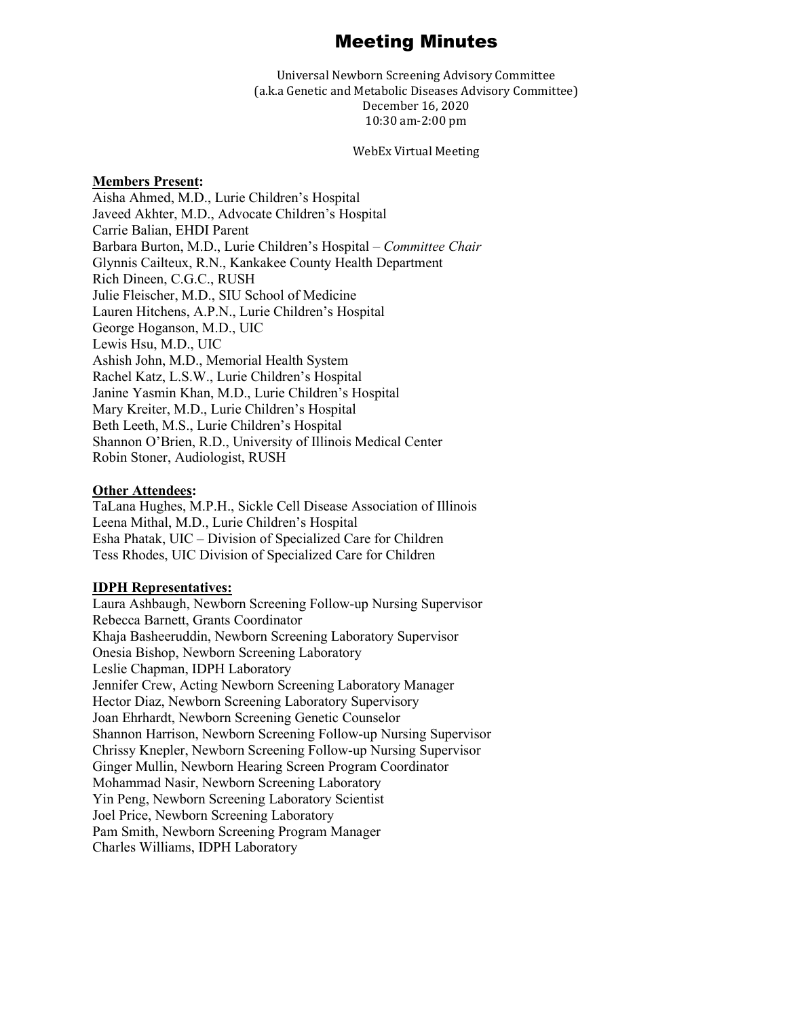# Meeting Minutes

Universal Newborn Screening Advisory Committee (a.k.a Genetic and Metabolic Diseases Advisory Committee) December 16, 2020 10:30 am-2:00 pm

#### WebEx Virtual Meeting

### **Members Present:**

Aisha Ahmed, M.D., Lurie Children's Hospital Javeed Akhter, M.D., Advocate Children's Hospital Carrie Balian, EHDI Parent Barbara Burton, M.D., Lurie Children's Hospital – *Committee Chair* Glynnis Cailteux, R.N., Kankakee County Health Department Rich Dineen, C.G.C., RUSH Julie Fleischer, M.D., SIU School of Medicine Lauren Hitchens, A.P.N., Lurie Children's Hospital George Hoganson, M.D., UIC Lewis Hsu, M.D., UIC Ashish John, M.D., Memorial Health System Rachel Katz, L.S.W., Lurie Children's Hospital Janine Yasmin Khan, M.D., Lurie Children's Hospital Mary Kreiter, M.D., Lurie Children's Hospital Beth Leeth, M.S., Lurie Children's Hospital Shannon O'Brien, R.D., University of Illinois Medical Center Robin Stoner, Audiologist, RUSH

#### **Other Attendees:**

TaLana Hughes, M.P.H., Sickle Cell Disease Association of Illinois Leena Mithal, M.D., Lurie Children's Hospital Esha Phatak, UIC – Division of Specialized Care for Children Tess Rhodes, UIC Division of Specialized Care for Children

## **IDPH Representatives:**

Laura Ashbaugh, Newborn Screening Follow-up Nursing Supervisor Rebecca Barnett, Grants Coordinator Khaja Basheeruddin, Newborn Screening Laboratory Supervisor Onesia Bishop, Newborn Screening Laboratory Leslie Chapman, IDPH Laboratory Jennifer Crew, Acting Newborn Screening Laboratory Manager Hector Diaz, Newborn Screening Laboratory Supervisory Joan Ehrhardt, Newborn Screening Genetic Counselor Shannon Harrison, Newborn Screening Follow-up Nursing Supervisor Chrissy Knepler, Newborn Screening Follow-up Nursing Supervisor Ginger Mullin, Newborn Hearing Screen Program Coordinator Mohammad Nasir, Newborn Screening Laboratory Yin Peng, Newborn Screening Laboratory Scientist Joel Price, Newborn Screening Laboratory Pam Smith, Newborn Screening Program Manager Charles Williams, IDPH Laboratory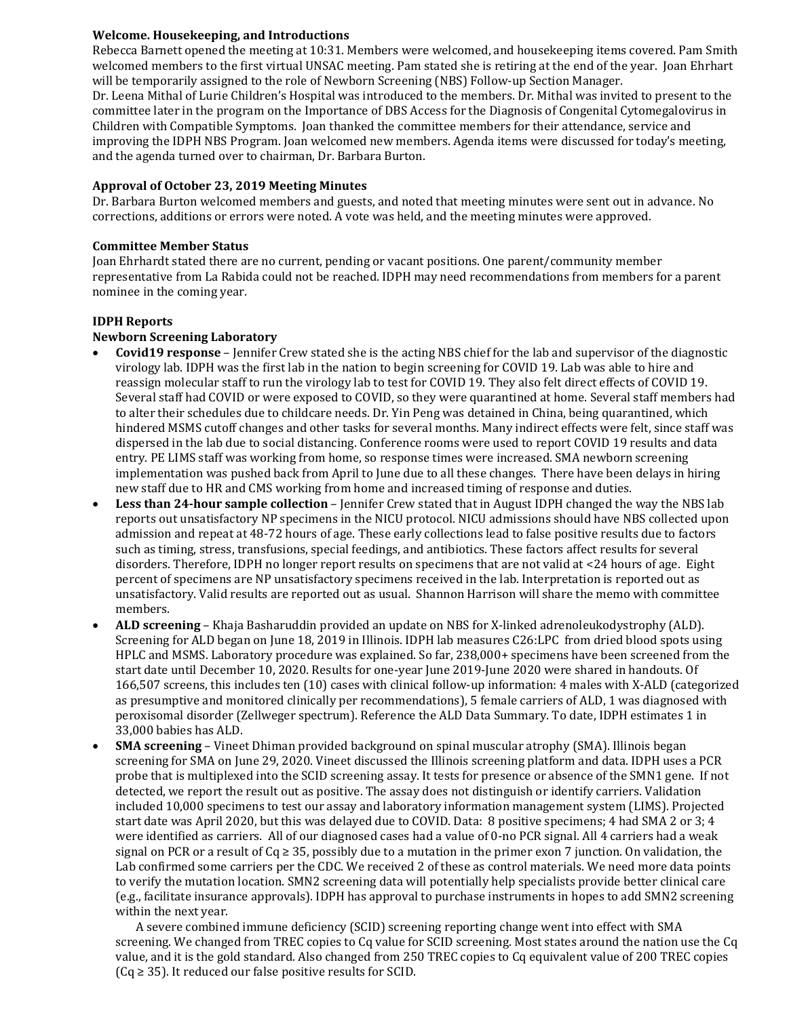# **Welcome. Housekeeping, and Introductions**

Rebecca Barnett opened the meeting at 10:31. Members were welcomed, and housekeeping items covered. Pam Smith welcomed members to the first virtual UNSAC meeting. Pam stated she is retiring at the end of the year. Joan Ehrhart will be temporarily assigned to the role of Newborn Screening (NBS) Follow-up Section Manager. Dr. Leena Mithal of Lurie Children's Hospital was introduced to the members. Dr. Mithal was invited to present to the committee later in the program on the Importance of DBS Access for the Diagnosis of Congenital Cytomegalovirus in Children with Compatible Symptoms. Joan thanked the committee members for their attendance, service and improving the IDPH NBS Program. Joan welcomed new members. Agenda items were discussed for today's meeting, and the agenda turned over to chairman, Dr. Barbara Burton.

## **Approval of October 23, 2019 Meeting Minutes**

Dr. Barbara Burton welcomed members and guests, and noted that meeting minutes were sent out in advance. No corrections, additions or errors were noted. A vote was held, and the meeting minutes were approved.

## **Committee Member Status**

Joan Ehrhardt stated there are no current, pending or vacant positions. One parent/community member representative from La Rabida could not be reached. IDPH may need recommendations from members for a parent nominee in the coming year.

# **IDPH Reports**

# **Newborn Screening Laboratory**

- **Covid19 response** Jennifer Crew stated she is the acting NBS chief for the lab and supervisor of the diagnostic virology lab. IDPH was the first lab in the nation to begin screening for COVID 19. Lab was able to hire and reassign molecular staff to run the virology lab to test for COVID 19. They also felt direct effects of COVID 19. Several staff had COVID or were exposed to COVID, so they were quarantined at home. Several staff members had to alter their schedules due to childcare needs. Dr. Yin Peng was detained in China, being quarantined, which hindered MSMS cutoff changes and other tasks for several months. Many indirect effects were felt, since staff was dispersed in the lab due to social distancing. Conference rooms were used to report COVID 19 results and data entry. PE LIMS staff was working from home, so response times were increased. SMA newborn screening implementation was pushed back from April to June due to all these changes. There have been delays in hiring new staff due to HR and CMS working from home and increased timing of response and duties.
- **Less than 24-hour sample collection** Jennifer Crew stated that in August IDPH changed the way the NBS lab reports out unsatisfactory NP specimens in the NICU protocol. NICU admissions should have NBS collected upon admission and repeat at 48-72 hours of age. These early collections lead to false positive results due to factors such as timing, stress, transfusions, special feedings, and antibiotics. These factors affect results for several disorders. Therefore, IDPH no longer report results on specimens that are not valid at <24 hours of age. Eight percent of specimens are NP unsatisfactory specimens received in the lab. Interpretation is reported out as unsatisfactory. Valid results are reported out as usual. Shannon Harrison will share the memo with committee members.
- **ALD screening** Khaja Basharuddin provided an update on NBS for X-linked adrenoleukodystrophy (ALD). Screening for ALD began on June 18, 2019 in Illinois. IDPH lab measures C26:LPC from dried blood spots using HPLC and MSMS. Laboratory procedure was explained. So far, 238,000+ specimens have been screened from the start date until December 10, 2020. Results for one-year June 2019-June 2020 were shared in handouts. Of 166,507 screens, this includes ten (10) cases with clinical follow-up information: 4 males with X-ALD (categorized as presumptive and monitored clinically per recommendations), 5 female carriers of ALD, 1 was diagnosed with peroxisomal disorder (Zellweger spectrum). Reference the ALD Data Summary. To date, IDPH estimates 1 in 33,000 babies has ALD.
- **SMA screening** Vineet Dhiman provided background on spinal muscular atrophy (SMA). Illinois began screening for SMA on June 29, 2020. Vineet discussed the Illinois screening platform and data. IDPH uses a PCR probe that is multiplexed into the SCID screening assay. It tests for presence or absence of the SMN1 gene. If not detected, we report the result out as positive. The assay does not distinguish or identify carriers. Validation included 10,000 specimens to test our assay and laboratory information management system (LIMS). Projected start date was April 2020, but this was delayed due to COVID. Data: 8 positive specimens; 4 had SMA 2 or 3; 4 were identified as carriers. All of our diagnosed cases had a value of 0-no PCR signal. All 4 carriers had a weak signal on PCR or a result of  $Cq \geq 35$ , possibly due to a mutation in the primer exon 7 junction. On validation, the Lab confirmed some carriers per the CDC. We received 2 of these as control materials. We need more data points to verify the mutation location. SMN2 screening data will potentially help specialists provide better clinical care (e.g., facilitate insurance approvals). IDPH has approval to purchase instruments in hopes to add SMN2 screening within the next year.

A severe combined immune deficiency (SCID) screening reporting change went into effect with SMA screening. We changed from TREC copies to Cq value for SCID screening. Most states around the nation use the Cq value, and it is the gold standard. Also changed from 250 TREC copies to Cq equivalent value of 200 TREC copies  $(Cq \geq 35)$ . It reduced our false positive results for SCID.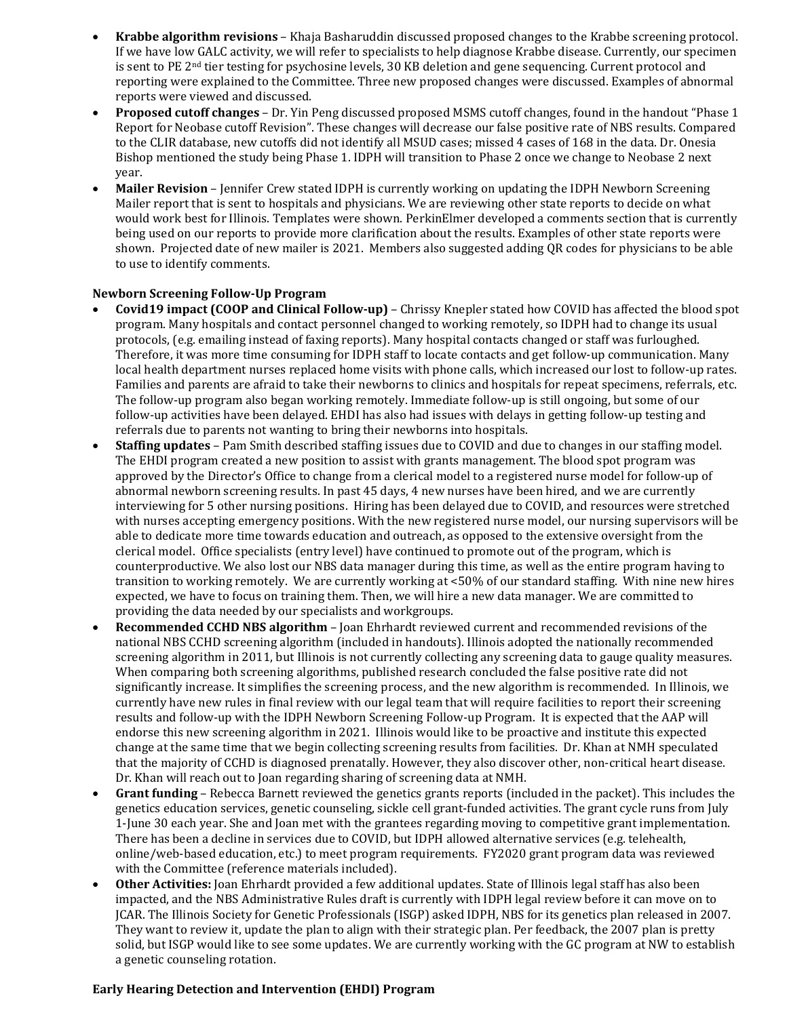- **Krabbe algorithm revisions** Khaja Basharuddin discussed proposed changes to the Krabbe screening protocol. If we have low GALC activity, we will refer to specialists to help diagnose Krabbe disease. Currently, our specimen is sent to PE 2nd tier testing for psychosine levels, 30 KB deletion and gene sequencing. Current protocol and reporting were explained to the Committee. Three new proposed changes were discussed. Examples of abnormal reports were viewed and discussed.
- **Proposed cutoff changes** Dr. Yin Peng discussed proposed MSMS cutoff changes, found in the handout "Phase 1 Report for Neobase cutoff Revision". These changes will decrease our false positive rate of NBS results. Compared to the CLIR database, new cutoffs did not identify all MSUD cases; missed 4 cases of 168 in the data. Dr. Onesia Bishop mentioned the study being Phase 1. IDPH will transition to Phase 2 once we change to Neobase 2 next year.
- **Mailer Revision** Jennifer Crew stated IDPH is currently working on updating the IDPH Newborn Screening Mailer report that is sent to hospitals and physicians. We are reviewing other state reports to decide on what would work best for Illinois. Templates were shown. PerkinElmer developed a comments section that is currently being used on our reports to provide more clarification about the results. Examples of other state reports were shown. Projected date of new mailer is 2021. Members also suggested adding QR codes for physicians to be able to use to identify comments.

# **Newborn Screening Follow-Up Program**

- **Covid19 impact (COOP and Clinical Follow-up)** Chrissy Knepler stated how COVID has affected the blood spot program. Many hospitals and contact personnel changed to working remotely, so IDPH had to change its usual protocols, (e.g. emailing instead of faxing reports). Many hospital contacts changed or staff was furloughed. Therefore, it was more time consuming for IDPH staff to locate contacts and get follow-up communication. Many local health department nurses replaced home visits with phone calls, which increased our lost to follow-up rates. Families and parents are afraid to take their newborns to clinics and hospitals for repeat specimens, referrals, etc. The follow-up program also began working remotely. Immediate follow-up is still ongoing, but some of our follow-up activities have been delayed. EHDI has also had issues with delays in getting follow-up testing and referrals due to parents not wanting to bring their newborns into hospitals.
- **Staffing updates** Pam Smith described staffing issues due to COVID and due to changes in our staffing model. The EHDI program created a new position to assist with grants management. The blood spot program was approved by the Director's Office to change from a clerical model to a registered nurse model for follow-up of abnormal newborn screening results. In past 45 days, 4 new nurses have been hired, and we are currently interviewing for 5 other nursing positions. Hiring has been delayed due to COVID, and resources were stretched with nurses accepting emergency positions. With the new registered nurse model, our nursing supervisors will be able to dedicate more time towards education and outreach, as opposed to the extensive oversight from the clerical model. Office specialists (entry level) have continued to promote out of the program, which is counterproductive. We also lost our NBS data manager during this time, as well as the entire program having to transition to working remotely. We are currently working at <50% of our standard staffing. With nine new hires expected, we have to focus on training them. Then, we will hire a new data manager. We are committed to providing the data needed by our specialists and workgroups.
- **Recommended CCHD NBS algorithm** Joan Ehrhardt reviewed current and recommended revisions of the national NBS CCHD screening algorithm (included in handouts). Illinois adopted the nationally recommended screening algorithm in 2011, but Illinois is not currently collecting any screening data to gauge quality measures. When comparing both screening algorithms, published research concluded the false positive rate did not significantly increase. It simplifies the screening process, and the new algorithm is recommended. In Illinois, we currently have new rules in final review with our legal team that will require facilities to report their screening results and follow-up with the IDPH Newborn Screening Follow-up Program. It is expected that the AAP will endorse this new screening algorithm in 2021. Illinois would like to be proactive and institute this expected change at the same time that we begin collecting screening results from facilities. Dr. Khan at NMH speculated that the majority of CCHD is diagnosed prenatally. However, they also discover other, non-critical heart disease. Dr. Khan will reach out to Joan regarding sharing of screening data at NMH.
- **Grant funding** Rebecca Barnett reviewed the genetics grants reports (included in the packet). This includes the genetics education services, genetic counseling, sickle cell grant-funded activities. The grant cycle runs from July 1-June 30 each year. She and Joan met with the grantees regarding moving to competitive grant implementation. There has been a decline in services due to COVID, but IDPH allowed alternative services (e.g. telehealth, online/web-based education, etc.) to meet program requirements. FY2020 grant program data was reviewed with the Committee (reference materials included).
- **Other Activities:** Joan Ehrhardt provided a few additional updates. State of Illinois legal staff has also been impacted, and the NBS Administrative Rules draft is currently with IDPH legal review before it can move on to JCAR. The Illinois Society for Genetic Professionals (ISGP) asked IDPH, NBS for its genetics plan released in 2007. They want to review it, update the plan to align with their strategic plan. Per feedback, the 2007 plan is pretty solid, but ISGP would like to see some updates. We are currently working with the GC program at NW to establish a genetic counseling rotation.

## **Early Hearing Detection and Intervention (EHDI) Program**